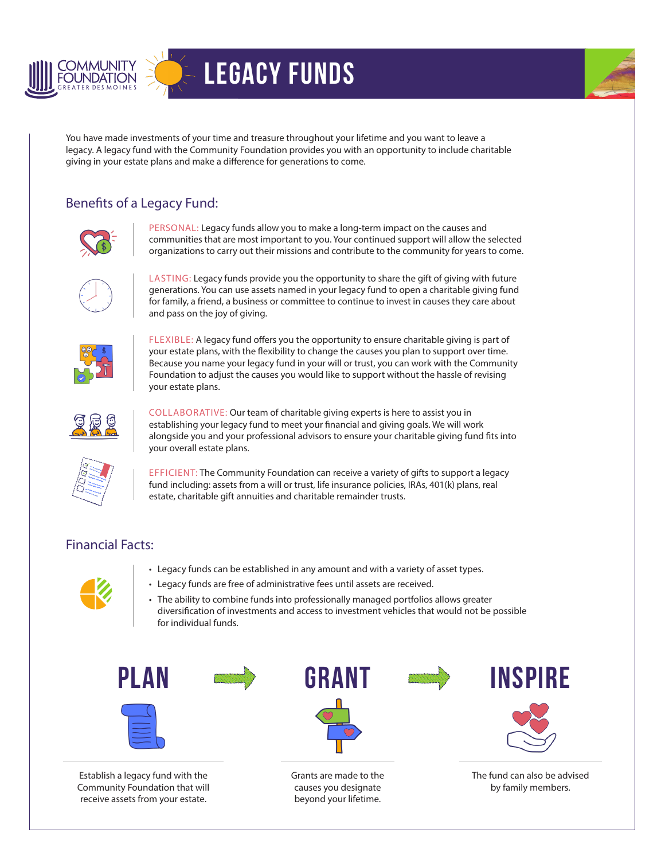

## Legacy Funds



You have made investments of your time and treasure throughout your lifetime and you want to leave a legacy. A legacy fund with the Community Foundation provides you with an opportunity to include charitable giving in your estate plans and make a difference for generations to come.

## Benefits of a Legacy Fund:



PERSONAL: Legacy funds allow you to make a long-term impact on the causes and communities that are most important to you. Your continued support will allow the selected organizations to carry out their missions and contribute to the community for years to come.



LASTING: Legacy funds provide you the opportunity to share the gift of giving with future generations. You can use assets named in your legacy fund to open a charitable giving fund for family, a friend, a business or committee to continue to invest in causes they care about and pass on the joy of giving.



FLEXIBLE: A legacy fund offers you the opportunity to ensure charitable giving is part of your estate plans, with the flexibility to change the causes you plan to support over time. Because you name your legacy fund in your will or trust, you can work with the Community Foundation to adjust the causes you would like to support without the hassle of revising your estate plans.



COLLABORATIVE: Our team of charitable giving experts is here to assist you in establishing your legacy fund to meet your financial and giving goals. We will work alongside you and your professional advisors to ensure your charitable giving fund fits into your overall estate plans.



EFFICIENT: The Community Foundation can receive a variety of gifts to support a legacy fund including: assets from a will or trust, life insurance policies, IRAs, 401(k) plans, real estate, charitable gift annuities and charitable remainder trusts.

## Financial Facts:



- Legacy funds can be established in any amount and with a variety of asset types.
- Legacy funds are free of administrative fees until assets are received.
- The ability to combine funds into professionally managed portfolios allows greater diversification of investments and access to investment vehicles that would not be possible for individual funds.





Establish a legacy fund with the Community Foundation that will receive assets from your estate.



Grants are made to the causes you designate beyond your lifetime.



The fund can also be advised by family members.